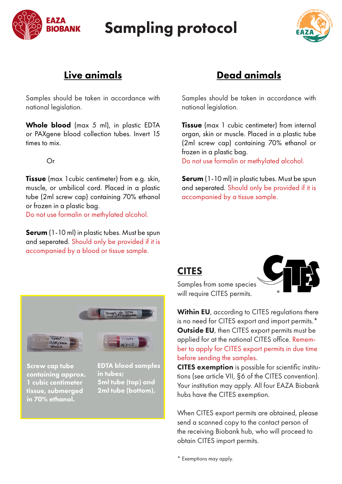

## Sampling protocol



## Live animals

Samples should be taken in accordance with national legislation.

Whole blood (max 5 ml), in plastic EDTA or PAXgene blood collection tubes. Invert 15 times to mix.

Or

**Tissue** (max 1 cubic centimeter) from e.g. skin, muscle, or umbilical cord. Placed in a plastic tube (2ml screw cap) containing 70% ethanol or frozen in a plastic bag.

Do not use formalin or methylated alcohol.

Serum (1-10 ml) in plastic tubes. Must be spun and seperated. Should only be provided if it is accompanied by a blood or tissue sample.

## Dead animals

Samples should be taken in accordance with national legislation.

**Tissue** (max 1 cubic centimeter) from internal organ, skin or muscle. Placed in a plastic tube (2ml screw cap) containing 70% ethanol or frozen in a plastic bag.

Do not use formalin or methylated alcohol.

**Serum** (1-10 ml) in plastic tubes. Must be spun and seperated. Should only be provided if it is accompanied by a tissue sample.

## CITES



Samples from some species will require CITES permits.

Within EU, according to CITES regulations there is no need for CITES export and import permits.\* Outside EU, then CITES export permits must be applied for at the national CITES office. Remember to apply for CITES export permits in due time before sending the samples.

CITES exemption is possible for scientific institutions (see article VII, §6 of the CITES convention). Your institution may apply. All four EAZA Biobank hubs have the CITES exemption.

When CITES export permits are obtained, please send a scanned copy to the contact person of the receiving Biobank hub, who will proceed to obtain CITES import permits.

Panya sb. 1359

Screw cap tube containing approx. 1 cubic centimeter tissue, submerged in 70% ethanol.

EDTA blood samples in tubes; 5ml tube (top) and 2ml tube (bottom).

\* Exemptions may apply.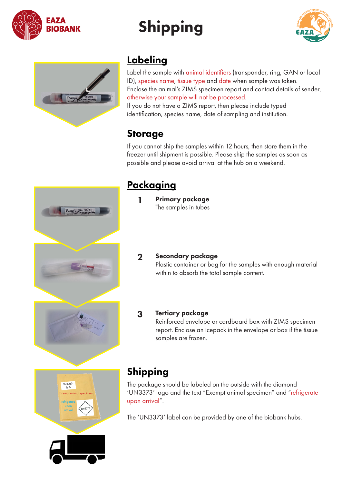

# Shipping





## **Labeling**

Label the sample with animal identifiers (transponder, ring, GAN or local ID), species name, tissue type and date when sample was taken. Enclose the animal's ZIMS specimen report and contact details of sender, otherwise your sample will not be processed.

If you do not have a ZIMS report, then please include typed identification, species name, date of sampling and institution.

## **Storage**

If you cannot ship the samples within 12 hours, then store them in the freezer until shipment is possible. Please ship the samples as soon as possible and please avoid arrival at the hub on a weekend.



## **Packaging**

- 1 Primary package The samples in tubes
- 2 Secondary package

Plastic container or bag for the samples with enough material within to absorb the total sample content.

#### 3 Tertiary package

Reinforced envelope or cardboard box with ZIMS specimen report. Enclose an icepack in the envelope or box if the tissue samples are frozen.

## **Shipping**

The package should be labeled on the outside with the diamond 'UN3373' logo and the text "Exempt animal specimen" and "refrigerate upon arrival".

The 'UN3373' label can be provided by one of the biobank hubs.